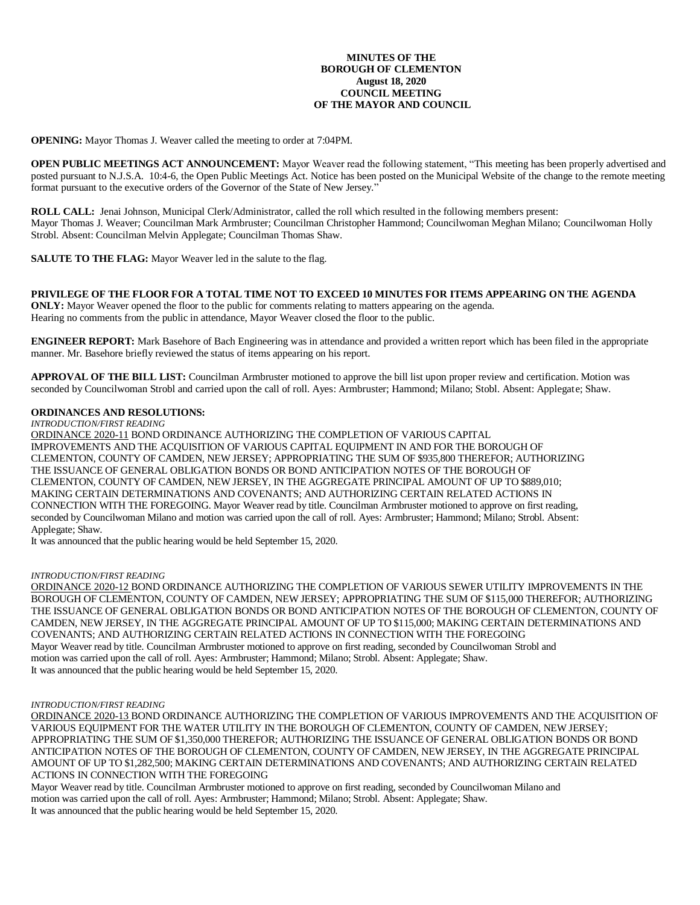## **MINUTES OF THE BOROUGH OF CLEMENTON August 18, 2020 COUNCIL MEETING OF THE MAYOR AND COUNCIL**

**OPENING:** Mayor Thomas J. Weaver called the meeting to order at 7:04PM.

**OPEN PUBLIC MEETINGS ACT ANNOUNCEMENT:** Mayor Weaver read the following statement, "This meeting has been properly advertised and posted pursuant to N.J.S.A. 10:4-6, the Open Public Meetings Act. Notice has been posted on the Municipal Website of the change to the remote meeting format pursuant to the executive orders of the Governor of the State of New Jersey."

**ROLL CALL:** Jenai Johnson, Municipal Clerk/Administrator, called the roll which resulted in the following members present: Mayor Thomas J. Weaver; Councilman Mark Armbruster; Councilman Christopher Hammond; Councilwoman Meghan Milano; Councilwoman Holly Strobl. Absent: Councilman Melvin Applegate; Councilman Thomas Shaw.

**SALUTE TO THE FLAG:** Mayor Weaver led in the salute to the flag.

## **PRIVILEGE OF THE FLOOR FOR A TOTAL TIME NOT TO EXCEED 10 MINUTES FOR ITEMS APPEARING ON THE AGENDA**

**ONLY:** Mayor Weaver opened the floor to the public for comments relating to matters appearing on the agenda. Hearing no comments from the public in attendance, Mayor Weaver closed the floor to the public.

**ENGINEER REPORT:** Mark Basehore of Bach Engineering was in attendance and provided a written report which has been filed in the appropriate manner. Mr. Basehore briefly reviewed the status of items appearing on his report.

**APPROVAL OF THE BILL LIST:** Councilman Armbruster motioned to approve the bill list upon proper review and certification. Motion was seconded by Councilwoman Strobl and carried upon the call of roll. Ayes: Armbruster; Hammond; Milano; Stobl. Absent: Applegate; Shaw.

# **ORDINANCES AND RESOLUTIONS:**

*INTRODUCTION/FIRST READING*

ORDINANCE 2020-11 BOND ORDINANCE AUTHORIZING THE COMPLETION OF VARIOUS CAPITAL IMPROVEMENTS AND THE ACQUISITION OF VARIOUS CAPITAL EQUIPMENT IN AND FOR THE BOROUGH OF CLEMENTON, COUNTY OF CAMDEN, NEW JERSEY; APPROPRIATING THE SUM OF \$935,800 THEREFOR; AUTHORIZING THE ISSUANCE OF GENERAL OBLIGATION BONDS OR BOND ANTICIPATION NOTES OF THE BOROUGH OF CLEMENTON, COUNTY OF CAMDEN, NEW JERSEY, IN THE AGGREGATE PRINCIPAL AMOUNT OF UP TO \$889,010; MAKING CERTAIN DETERMINATIONS AND COVENANTS; AND AUTHORIZING CERTAIN RELATED ACTIONS IN CONNECTION WITH THE FOREGOING. Mayor Weaver read by title. Councilman Armbruster motioned to approve on first reading, seconded by Councilwoman Milano and motion was carried upon the call of roll. Ayes: Armbruster; Hammond; Milano; Strobl. Absent: Applegate; Shaw.

It was announced that the public hearing would be held September 15, 2020.

#### *INTRODUCTION/FIRST READING*

ORDINANCE 2020-12 BOND ORDINANCE AUTHORIZING THE COMPLETION OF VARIOUS SEWER UTILITY IMPROVEMENTS IN THE BOROUGH OF CLEMENTON, COUNTY OF CAMDEN, NEW JERSEY; APPROPRIATING THE SUM OF \$115,000 THEREFOR; AUTHORIZING THE ISSUANCE OF GENERAL OBLIGATION BONDS OR BOND ANTICIPATION NOTES OF THE BOROUGH OF CLEMENTON, COUNTY OF CAMDEN, NEW JERSEY, IN THE AGGREGATE PRINCIPAL AMOUNT OF UP TO \$115,000; MAKING CERTAIN DETERMINATIONS AND COVENANTS; AND AUTHORIZING CERTAIN RELATED ACTIONS IN CONNECTION WITH THE FOREGOING Mayor Weaver read by title. Councilman Armbruster motioned to approve on first reading, seconded by Councilwoman Strobl and motion was carried upon the call of roll. Ayes: Armbruster; Hammond; Milano; Strobl. Absent: Applegate; Shaw. It was announced that the public hearing would be held September 15, 2020.

#### *INTRODUCTION/FIRST READING*

ORDINANCE 2020-13 BOND ORDINANCE AUTHORIZING THE COMPLETION OF VARIOUS IMPROVEMENTS AND THE ACQUISITION OF VARIOUS EQUIPMENT FOR THE WATER UTILITY IN THE BOROUGH OF CLEMENTON, COUNTY OF CAMDEN, NEW JERSEY; APPROPRIATING THE SUM OF \$1,350,000 THEREFOR; AUTHORIZING THE ISSUANCE OF GENERAL OBLIGATION BONDS OR BOND ANTICIPATION NOTES OF THE BOROUGH OF CLEMENTON, COUNTY OF CAMDEN, NEW JERSEY, IN THE AGGREGATE PRINCIPAL AMOUNT OF UP TO \$1,282,500; MAKING CERTAIN DETERMINATIONS AND COVENANTS; AND AUTHORIZING CERTAIN RELATED ACTIONS IN CONNECTION WITH THE FOREGOING

Mayor Weaver read by title. Councilman Armbruster motioned to approve on first reading, seconded by Councilwoman Milano and motion was carried upon the call of roll. Ayes: Armbruster; Hammond; Milano; Strobl. Absent: Applegate; Shaw. It was announced that the public hearing would be held September 15, 2020.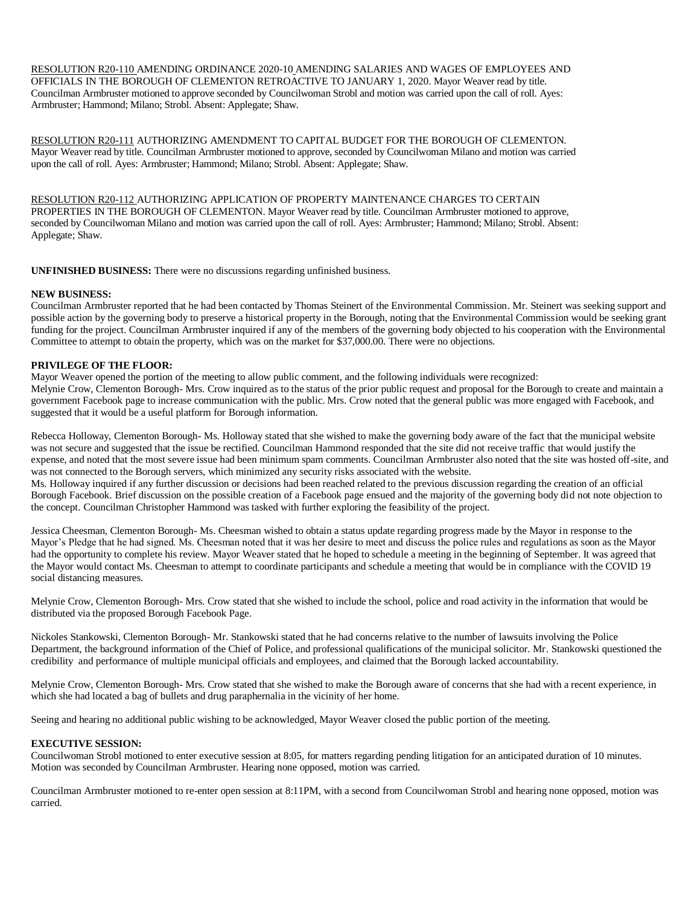RESOLUTION R20-110 AMENDING ORDINANCE 2020-10 AMENDING SALARIES AND WAGES OF EMPLOYEES AND OFFICIALS IN THE BOROUGH OF CLEMENTON RETROACTIVE TO JANUARY 1, 2020. Mayor Weaver read by title. Councilman Armbruster motioned to approve seconded by Councilwoman Strobl and motion was carried upon the call of roll. Ayes: Armbruster; Hammond; Milano; Strobl. Absent: Applegate; Shaw.

RESOLUTION R20-111 AUTHORIZING AMENDMENT TO CAPITAL BUDGET FOR THE BOROUGH OF CLEMENTON. Mayor Weaver read by title. Councilman Armbruster motioned to approve, seconded by Councilwoman Milano and motion was carried upon the call of roll. Ayes: Armbruster; Hammond; Milano; Strobl. Absent: Applegate; Shaw.

RESOLUTION R20-112 AUTHORIZING APPLICATION OF PROPERTY MAINTENANCE CHARGES TO CERTAIN PROPERTIES IN THE BOROUGH OF CLEMENTON. Mayor Weaver read by title. Councilman Armbruster motioned to approve, seconded by Councilwoman Milano and motion was carried upon the call of roll. Ayes: Armbruster; Hammond; Milano; Strobl. Absent: Applegate; Shaw.

**UNFINISHED BUSINESS:** There were no discussions regarding unfinished business.

## **NEW BUSINESS:**

Councilman Armbruster reported that he had been contacted by Thomas Steinert of the Environmental Commission. Mr. Steinert was seeking support and possible action by the governing body to preserve a historical property in the Borough, noting that the Environmental Commission would be seeking grant funding for the project. Councilman Armbruster inquired if any of the members of the governing body objected to his cooperation with the Environmental Committee to attempt to obtain the property, which was on the market for \$37,000.00. There were no objections.

# **PRIVILEGE OF THE FLOOR:**

Mayor Weaver opened the portion of the meeting to allow public comment, and the following individuals were recognized: Melynie Crow, Clementon Borough- Mrs. Crow inquired as to the status of the prior public request and proposal for the Borough to create and maintain a government Facebook page to increase communication with the public. Mrs. Crow noted that the general public was more engaged with Facebook, and suggested that it would be a useful platform for Borough information.

Rebecca Holloway, Clementon Borough- Ms. Holloway stated that she wished to make the governing body aware of the fact that the municipal website was not secure and suggested that the issue be rectified. Councilman Hammond responded that the site did not receive traffic that would justify the expense, and noted that the most severe issue had been minimum spam comments. Councilman Armbruster also noted that the site was hosted off-site, and was not connected to the Borough servers, which minimized any security risks associated with the website.

Ms. Holloway inquired if any further discussion or decisions had been reached related to the previous discussion regarding the creation of an official Borough Facebook. Brief discussion on the possible creation of a Facebook page ensued and the majority of the governing body did not note objection to the concept. Councilman Christopher Hammond was tasked with further exploring the feasibility of the project.

Jessica Cheesman, Clementon Borough- Ms. Cheesman wished to obtain a status update regarding progress made by the Mayor in response to the Mayor's Pledge that he had signed. Ms. Cheesman noted that it was her desire to meet and discuss the police rules and regulations as soon as the Mayor had the opportunity to complete his review. Mayor Weaver stated that he hoped to schedule a meeting in the beginning of September. It was agreed that the Mayor would contact Ms. Cheesman to attempt to coordinate participants and schedule a meeting that would be in compliance with the COVID 19 social distancing measures.

Melynie Crow, Clementon Borough- Mrs. Crow stated that she wished to include the school, police and road activity in the information that would be distributed via the proposed Borough Facebook Page.

Nickoles Stankowski, Clementon Borough- Mr. Stankowski stated that he had concerns relative to the number of lawsuits involving the Police Department, the background information of the Chief of Police, and professional qualifications of the municipal solicitor. Mr. Stankowski questioned the credibility and performance of multiple municipal officials and employees, and claimed that the Borough lacked accountability.

Melynie Crow, Clementon Borough- Mrs. Crow stated that she wished to make the Borough aware of concerns that she had with a recent experience, in which she had located a bag of bullets and drug paraphernalia in the vicinity of her home.

Seeing and hearing no additional public wishing to be acknowledged, Mayor Weaver closed the public portion of the meeting.

# **EXECUTIVE SESSION:**

Councilwoman Strobl motioned to enter executive session at 8:05, for matters regarding pending litigation for an anticipated duration of 10 minutes. Motion was seconded by Councilman Armbruster. Hearing none opposed, motion was carried.

Councilman Armbruster motioned to re-enter open session at 8:11PM, with a second from Councilwoman Strobl and hearing none opposed, motion was carried.